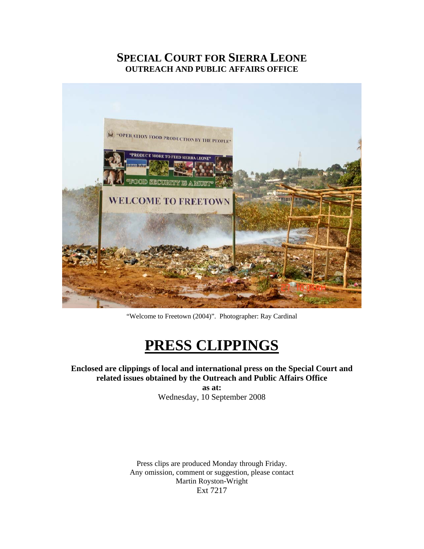# **SPECIAL COURT FOR SIERRA LEONE OUTREACH AND PUBLIC AFFAIRS OFFICE**



"Welcome to Freetown (2004)". Photographer: Ray Cardinal

# **PRESS CLIPPINGS**

## **Enclosed are clippings of local and international press on the Special Court and related issues obtained by the Outreach and Public Affairs Office**

**as at:**  Wednesday, 10 September 2008

Press clips are produced Monday through Friday. Any omission, comment or suggestion, please contact Martin Royston-Wright Ext 7217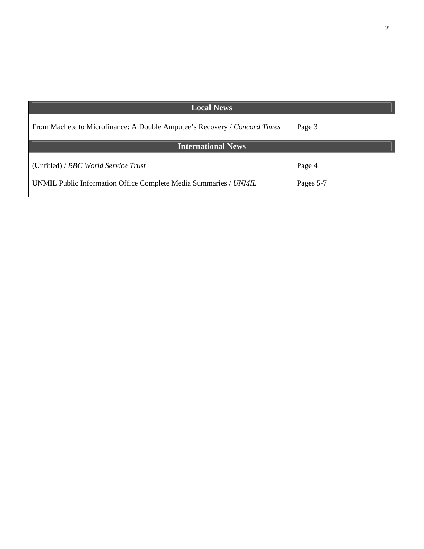| <b>Local News</b>                                                         |           |
|---------------------------------------------------------------------------|-----------|
| From Machete to Microfinance: A Double Amputee's Recovery / Concord Times | Page 3    |
| <b>International News</b>                                                 |           |
| (Untitled) / BBC World Service Trust                                      | Page 4    |
| UNMIL Public Information Office Complete Media Summaries / UNMIL          | Pages 5-7 |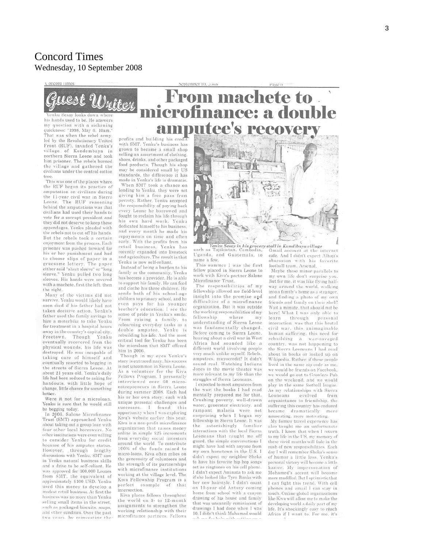## Concord Times Wednesday, 10 September 2008

Concord Lime Guest Writer

his hands used to be. He answers my question with a sickening quickness: "1998. May 6. 10am. That was when the rebel army, led by the Revolutionary United Front (RUF), invaded Yenku's village of Kondembaya in northern Sierra Leone and took him prisoner. The rebels burned the village and gathered the civilians under the central cotton tree.

This was one of the places where the RUF began its practice of amputation on civilians during the 11-year civil war in Sierra The RUF reasoning Leone. behind the amputations was that civilians had used their hands to vote for a corrupt president and they did not deserve to keep these appendages. Yenku pleaded with the rebels not to cut off his hands. But the rebels took a certain enjoyment from the process. Each prisoner was pushed forward for his or her punishment and had to choose slips of paper in a gruesome lottery. The paper either said "short sleeve" or "long sleeve." Yenku pulled two long sleeves. His hands were severed with a machete, first the left, then the right.

Many of the victims did not survive. Yenku would likely have soon died if his father had not taken decisive action. Yenku's father used the family savings to hire a motorbike to take Yenku for treatment in a hospital hours away in the country's capital city, Freetown. Though Yenku eventually recovered from the physical wounds, his life was destroyed. He was incapable of<br>taking care of himself and eventually resorted to begging in the streets of Sierra Leone. At about 21 years old, Yenku's daily life had been reduced to asking for handouts, with little hope of change, little chance for something better.

Were it not for a microloan, Yenku is sure that he would still be begging today.

In 2006, Salone Microfinance Trust<sup>\*</sup>(SMT) approached Yenku about taking out a group loan with four other local borrowers. No other institutions were even willing to consider Yenku for credit because of his amputee status. However, through lengthy discussions with Yenku, SMT saw in Yenku natural business skills and a drive to be self-reliant. He was approved for 300,000 Leones from SMT, the equivalent of approximately \$100 USD. Yenku used this money to develop a modest retail business. At first the business was no more than Yenku selling small items in the street. such as packaged biscuits, soaps, and other sundries. Over the past two years, by reinvesting the

profits and building his credi with SMT, Yenku's business has grown to become a small shop selling an assortment of clothing. shoes, drinks, and other packaged food products. Though his shop may be considered small by US standards, the difference it has made in Yenku's life is dramatic. When SMT took a chance on

September T0, 2008

lending to Yenku, they were not giving him a free pass from poverty. Rather, Yenku accepted the responsibility of paying back every Leone he borrowed and fought to reclaim his life through his own hard work. Yenku dedicated himself to his business. and every month he made his repayments on time and often early. With the profits from his retail business, Yenku has recently expanded into livestock and agriculture. The result is that Yenku is now self-reliant.

Instead of being a burden to his family or the community, Yenku has become a provider. He is able to support his family. He can feed and clothe his three children. He sends both of his school-age children to primary school, and he even pays for his younger brother's education. I see the sense of pride in Yenku's smile. From raising a family, to relearning everyday tasks as a double amputee. Yenku is rebuilding his life. And the most critical tool for Yenku has been the microloan that SMT offered him in 2006.

Though in my eyes Yenku's story is extraordinary, his success is not uncommon in Sierra Leone. As a volunteer for the Kiva Fellows Program, I personally interviewed over 60 microentrepreneurs in Sierra Leone during summer 2008. Each had his or her own story, each with unique personal challenges and successes. I found this opportunity when I was exploring Kiva's website earlier this year. Kiva is a non-profit microfinance organization that raises money online in simple \$25 increments from everyday social investors around the world. To contribute 100% of the funds raised to micro-loans, Kiva often relies on the generosity of volunteers and the strength of its partnerships with microfinance institutions working at the village level. The Kiva Fellowship Program is a perfect example of that intersection.

Kiva places fellows throughout the world on 3- to 12-month assignments to strengthen the working relationship with their microfinance partners. Fellows



Yenku Sesay in his grocery stall in Kundibaya village<br>such as Tajikistan, Cambodia, Gmail account at the in Uganda, and Guatemala, to name a few

**From machete to** 

microfinance: a double

This summer I was the first fellow placed in Sierra Leone to work with Kiva's partner Salone Microfinance Trust

The responsibilities of my fellowship allowed me field-level insight into the promise and difficulties of a microfinance organization. But it was outside the working responsibilities of my fellowship where my understanding of Sierra Leone was fundamentally changed. Before coming to Sierra Leone, hearing about a civil war in West Africa had sounded like a different world involving people very much unlike myself. Rebels, amputees, microcredit? It didn't sound real. Watching Indiana Jones in the movie theater was more relevant to my life than the struggles of Sierra Leoneans.

I expected to meet amputees from the war; the books I had read mentally prepared me for that. Crushing poverty, well-drawn water, generator electricity, and rampant malaria were not surprising when I began my fellowship in Sierra Leone. It was the astonishingly familiar interactions with the local Sierra Leoneans that caught me off guard, the simple conversations I might have had with anyone from my own hometown in the U.S. I didn't expect my neighbor Sheka to have his favorite hip hop songs set as ringtones on his cell phone. I didn't expect Aminata to ask me if she looked like Tyra Banks with her new hairstyle. I didn't count on 10-year old Antony coming home from school with a crayon drawing of his house and family that was uncannily reminiscent of drawings I had done when I was 10. I didn't think Mohamed would

Gmail account at the internet cafe. And I didn't expect Alhaji's obsession with his favorite football team, Arsenal.

Maybe these minor parallels to my own life don't surprise you. But for me, it was like flying halfway around the world, walking into a family's home as a stranger. and finding a photo of my own friends and family on their shelf! Wait a minute, that should not be here! What I was only able to learn through personal interaction, was that this brutal<br>civil war, this unimaginable human suffering, this need for rebuilding a war-ravaged country, was not happening to the Sierra Leoneans I had read about in books or looked up on Wikipedia. Rather, if these people lived in the same zip code as me. we would be friends on Facebook. we would go out to Growlers Pub on the weekend, and we would play in the same football league. As my relationships with Sierra Leoneans evolved from acquaintance to friendship, the suffering this country has endured became dramatically  $m$ ore nauseating, more motivating.

My former travel experience has also taught me an unfortunate truth. I know that when I return to my life in the US, my memory of these vivid months will fade in the rush of new responsibilities. Each day I will remember Sheka's sense of humor a little less. Yenku's personal victory will become a little hazier. My impersonation of Mohamed's accent will become more muddled. But I optimistic that can fight this trend. With cell phones and email I can stay in touch. Online global organizations like Kiya will allow me to make the developing world a daily part of my life. It's shockingly easy to réach Africa if I want to. For me, it's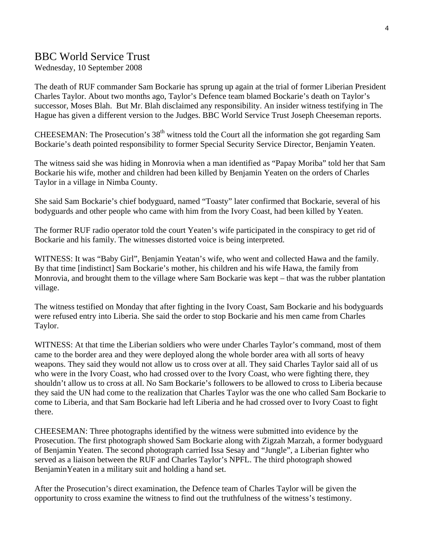## BBC World Service Trust

Wednesday, 10 September 2008

The death of RUF commander Sam Bockarie has sprung up again at the trial of former Liberian President Charles Taylor. About two months ago, Taylor's Defence team blamed Bockarie's death on Taylor's successor, Moses Blah. But Mr. Blah disclaimed any responsibility. An insider witness testifying in The Hague has given a different version to the Judges. BBC World Service Trust Joseph Cheeseman reports.

CHEESEMAN: The Prosecution's 38<sup>th</sup> witness told the Court all the information she got regarding Sam Bockarie's death pointed responsibility to former Special Security Service Director, Benjamin Yeaten.

The witness said she was hiding in Monrovia when a man identified as "Papay Moriba" told her that Sam Bockarie his wife, mother and children had been killed by Benjamin Yeaten on the orders of Charles Taylor in a village in Nimba County.

She said Sam Bockarie's chief bodyguard, named "Toasty" later confirmed that Bockarie, several of his bodyguards and other people who came with him from the Ivory Coast, had been killed by Yeaten.

The former RUF radio operator told the court Yeaten's wife participated in the conspiracy to get rid of Bockarie and his family. The witnesses distorted voice is being interpreted.

WITNESS: It was "Baby Girl", Benjamin Yeatan's wife, who went and collected Hawa and the family. By that time [indistinct] Sam Bockarie's mother, his children and his wife Hawa, the family from Monrovia, and brought them to the village where Sam Bockarie was kept – that was the rubber plantation village.

The witness testified on Monday that after fighting in the Ivory Coast, Sam Bockarie and his bodyguards were refused entry into Liberia. She said the order to stop Bockarie and his men came from Charles Taylor.

WITNESS: At that time the Liberian soldiers who were under Charles Taylor's command, most of them came to the border area and they were deployed along the whole border area with all sorts of heavy weapons. They said they would not allow us to cross over at all. They said Charles Taylor said all of us who were in the Ivory Coast, who had crossed over to the Ivory Coast, who were fighting there, they shouldn't allow us to cross at all. No Sam Bockarie's followers to be allowed to cross to Liberia because they said the UN had come to the realization that Charles Taylor was the one who called Sam Bockarie to come to Liberia, and that Sam Bockarie had left Liberia and he had crossed over to Ivory Coast to fight there.

CHEESEMAN: Three photographs identified by the witness were submitted into evidence by the Prosecution. The first photograph showed Sam Bockarie along with Zigzah Marzah, a former bodyguard of Benjamin Yeaten. The second photograph carried Issa Sesay and "Jungle", a Liberian fighter who served as a liaison between the RUF and Charles Taylor's NPFL. The third photograph showed BenjaminYeaten in a military suit and holding a hand set.

After the Prosecution's direct examination, the Defence team of Charles Taylor will be given the opportunity to cross examine the witness to find out the truthfulness of the witness's testimony.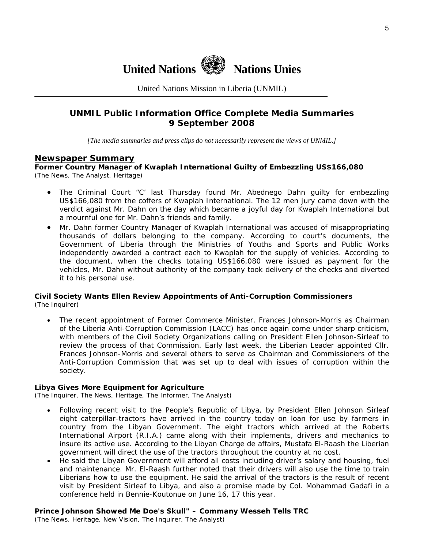

United Nations Mission in Liberia (UNMIL)

### **UNMIL Public Information Office Complete Media Summaries 9 September 2008**

*[The media summaries and press clips do not necessarily represent the views of UNMIL.]* 

#### **Newspaper Summary**

**Former Country Manager of Kwaplah International Guilty of Embezzling US\$166,080**  (The News, The Analyst, Heritage)

- The Criminal Court "C' last Thursday found Mr. Abednego Dahn guilty for embezzling US\$166,080 from the coffers of Kwaplah International. The 12 men jury came down with the verdict against Mr. Dahn on the day which became a joyful day for Kwaplah International but a mournful one for Mr. Dahn's friends and family.
- Mr. Dahn former Country Manager of Kwaplah International was accused of misappropriating thousands of dollars belonging to the company. According to court's documents, the Government of Liberia through the Ministries of Youths and Sports and Public Works independently awarded a contract each to Kwaplah for the supply of vehicles. According to the document, when the checks totaling US\$166,080 were issued as payment for the vehicles, Mr. Dahn without authority of the company took delivery of the checks and diverted it to his personal use.

# **Civil Society Wants Ellen Review Appointments of Anti-Corruption Commissioners**

(The Inquirer)

• The recent appointment of Former Commerce Minister, Frances Johnson-Morris as Chairman of the Liberia Anti-Corruption Commission (LACC) has once again come under sharp criticism, with members of the Civil Society Organizations calling on President Ellen Johnson-Sirleaf to review the process of that Commission. Early last week, the Liberian Leader appointed Cllr. Frances Johnson-Morris and several others to serve as Chairman and Commissioners of the Anti-Corruption Commission that was set up to deal with issues of corruption within the society.

#### **Libya Gives More Equipment for Agriculture**

(The Inquirer, The News, Heritage, The Informer, The Analyst)

- Following recent visit to the People's Republic of Libya, by President Ellen Johnson Sirleaf eight caterpillar-tractors have arrived in the country today on loan for use by farmers in country from the Libyan Government. The eight tractors which arrived at the Roberts International Airport (R.I.A.) came along with their implements, drivers and mechanics to insure its active use. According to the Libyan Charge de affairs, Mustafa El-Raash the Liberian government will direct the use of the tractors throughout the country at no cost.
- He said the Libyan Government will afford all costs including driver's salary and housing, fuel and maintenance. Mr. El-Raash further noted that their drivers will also use the time to train Liberians how to use the equipment. He said the arrival of the tractors is the result of recent visit by President Sirleaf to Libya, and also a promise made by Col. Mohammad Gadafi in a conference held in Bennie-Koutonue on June 16, 17 this year.

#### **Prince Johnson Showed Me Doe's Skull" – Commany Wesseh Tells TRC**

(The News, Heritage, New Vision, The Inquirer, The Analyst)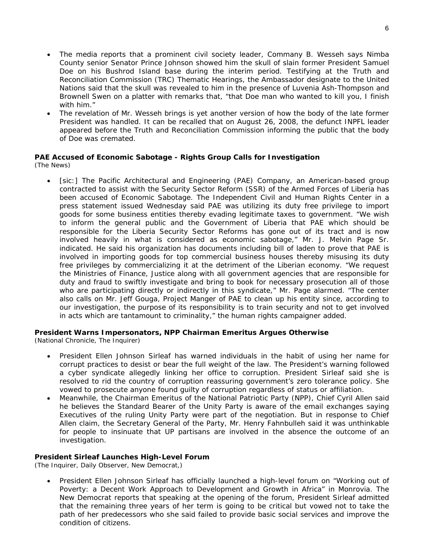- The media reports that a prominent civil society leader, Commany B. Wesseh says Nimba County senior Senator Prince Johnson showed him the skull of slain former President Samuel Doe on his Bushrod Island base during the interim period. Testifying at the Truth and Reconciliation Commission (TRC) Thematic Hearings, the Ambassador designate to the United Nations said that the skull was revealed to him in the presence of Luvenia Ash-Thompson and Brownell Swen on a platter with remarks that, "that Doe man who wanted to kill you, I finish with him."
- The revelation of Mr. Wesseh brings is yet another version of how the body of the late former President was handled. It can be recalled that on August 26, 2008, the defunct INPFL leader appeared before the Truth and Reconciliation Commission informing the public that the body of Doe was cremated.

#### **PAE Accused of Economic Sabotage - Rights Group Calls for Investigation**  (The News)

[sic:] The Pacific Architectural and Engineering (PAE) Company, an American-based group contracted to assist with the Security Sector Reform (SSR) of the Armed Forces of Liberia has been accused of Economic Sabotage. The Independent Civil and Human Rights Center in a press statement issued Wednesday said PAE was utilizing its duty free privilege to import goods for some business entities thereby evading legitimate taxes to government. "We wish to inform the general public and the Government of Liberia that PAE which should be responsible for the Liberia Security Sector Reforms has gone out of its tract and is now involved heavily in what is considered as economic sabotage," Mr. J. Melvin Page Sr. indicated. He said his organization has documents including bill of laden to prove that PAE is involved in importing goods for top commercial business houses thereby misusing its duty free privileges by commercializing it at the detriment of the Liberian economy. "We request the Ministries of Finance, Justice along with all government agencies that are responsible for duty and fraud to swiftly investigate and bring to book for necessary prosecution all of those who are participating directly or indirectly in this syndicate," Mr. Page alarmed. "The center also calls on Mr. Jeff Gouga, Project Manger of PAE to clean up his entity since, according to our investigation, the purpose of its responsibility is to train security and not to get involved in acts which are tantamount to criminality," the human rights campaigner added.

#### **President Warns Impersonators, NPP Chairman Emeritus Argues Otherwise**

(National Chronicle, The Inquirer)

- President Ellen Johnson Sirleaf has warned individuals in the habit of using her name for corrupt practices to desist or bear the full weight of the law. The President's warning followed a cyber syndicate allegedly linking her office to corruption. President Sirleaf said she is resolved to rid the country of corruption reassuring government's zero tolerance policy. She vowed to prosecute anyone found guilty of corruption regardless of status or affiliation.
- Meanwhile, the Chairman Emeritus of the National Patriotic Party (NPP), Chief Cyril Allen said he believes the Standard Bearer of the Unity Party is aware of the email exchanges saying Executives of the ruling Unity Party were part of the negotiation. But in response to Chief Allen claim, the Secretary General of the Party, Mr. Henry Fahnbulleh said it was unthinkable for people to insinuate that UP partisans are involved in the absence the outcome of an investigation.

#### **President Sirleaf Launches High-Level Forum**

(The Inquirer, Daily Observer, New Democrat,)

• President Ellen Johnson Sirleaf has officially launched a high-level forum on "Working out of Poverty: a Decent Work Approach to Development and Growth in Africa" in Monrovia. The New Democrat reports that speaking at the opening of the forum, President Sirleaf admitted that the remaining three years of her term is going to be critical but vowed not to take the path of her predecessors who she said failed to provide basic social services and improve the condition of citizens.